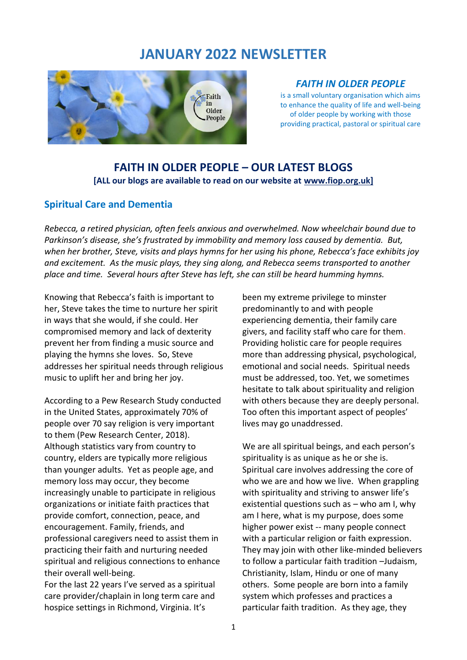# **JANUARY 2022 NEWSLETTER**



#### *FAITH IN OLDER PEOPLE*

is a small voluntary organisation which aims to enhance the quality of life and well-being of older people by working with those providing practical, pastoral or spiritual care

## **FAITH IN OLDER PEOPLE – OUR LATEST BLOGS [ALL our blogs are available to read on our website at [www.fiop.org.uk\]](http://www.fiop.org.uk/)**

## **Spiritual Care and Dementia**

*Rebecca, a retired physician, often feels anxious and overwhelmed. Now wheelchair bound due to Parkinson's disease, she's frustrated by immobility and memory loss caused by dementia. But, when her brother, Steve, visits and plays hymns for her using his phone, Rebecca's face exhibits joy and excitement. As the music plays, they sing along, and Rebecca seems transported to another place and time. Several hours after Steve has left, she can still be heard humming hymns.*

Knowing that Rebecca's faith is important to her, Steve takes the time to nurture her spirit in ways that she would, if she could. Her compromised memory and lack of dexterity prevent her from finding a music source and playing the hymns she loves. So, Steve addresses her spiritual needs through religious music to uplift her and bring her joy.

According to a Pew Research Study conducted in the United States, approximately 70% of people over 70 say religion is very important to them (Pew Research Center, 2018). Although statistics vary from country to country, elders are typically more religious than younger adults. Yet as people age, and memory loss may occur, they become increasingly unable to participate in religious organizations or initiate faith practices that provide comfort, connection, peace, and encouragement. Family, friends, and professional caregivers need to assist them in practicing their faith and nurturing needed spiritual and religious connections to enhance their overall well-being.

For the last 22 years I've served as a spiritual care provider/chaplain in long term care and hospice settings in Richmond, Virginia. It's

been my extreme privilege to minster predominantly to and with people experiencing dementia, their family care givers, and facility staff who care for them. Providing holistic care for people requires more than addressing physical, psychological, emotional and social needs. Spiritual needs must be addressed, too. Yet, we sometimes hesitate to talk about spirituality and religion with others because they are deeply personal. Too often this important aspect of peoples' lives may go unaddressed.

We are all spiritual beings, and each person's spirituality is as unique as he or she is. Spiritual care involves addressing the core of who we are and how we live. When grappling with spirituality and striving to answer life's existential questions such as – who am I, why am I here, what is my purpose, does some higher power exist -- many people connect with a particular religion or faith expression. They may join with other like-minded believers to follow a particular faith tradition –Judaism, Christianity, Islam, Hindu or one of many others. Some people are born into a family system which professes and practices a particular faith tradition. As they age, they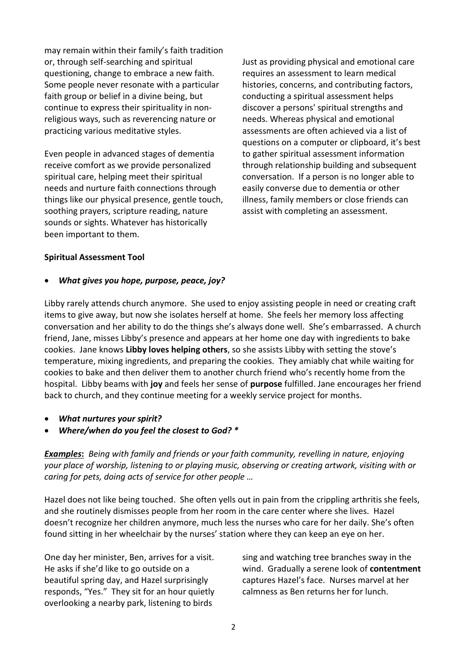may remain within their family's faith tradition or, through self-searching and spiritual questioning, change to embrace a new faith. Some people never resonate with a particular faith group or belief in a divine being, but continue to express their spirituality in nonreligious ways, such as reverencing nature or practicing various meditative styles.

Even people in advanced stages of dementia receive comfort as we provide personalized spiritual care, helping meet their spiritual needs and nurture faith connections through things like our physical presence, gentle touch, soothing prayers, scripture reading, nature sounds or sights. Whatever has historically been important to them.

Just as providing physical and emotional care requires an assessment to learn medical histories, concerns, and contributing factors, conducting a spiritual assessment helps discover a persons' spiritual strengths and needs. Whereas physical and emotional assessments are often achieved via a list of questions on a computer or clipboard, it's best to gather spiritual assessment information through relationship building and subsequent conversation. If a person is no longer able to easily converse due to dementia or other illness, family members or close friends can assist with completing an assessment.

#### **Spiritual Assessment Tool**

#### • *What gives you hope, purpose, peace, joy?*

Libby rarely attends church anymore. She used to enjoy assisting people in need or creating craft items to give away, but now she isolates herself at home. She feels her memory loss affecting conversation and her ability to do the things she's always done well. She's embarrassed. A church friend, Jane, misses Libby's presence and appears at her home one day with ingredients to bake cookies. Jane knows **Libby loves helping others**, so she assists Libby with setting the stove's temperature, mixing ingredients, and preparing the cookies. They amiably chat while waiting for cookies to bake and then deliver them to another church friend who's recently home from the hospital. Libby beams with **joy** and feels her sense of **purpose** fulfilled. Jane encourages her friend back to church, and they continue meeting for a weekly service project for months.

- *What nurtures your spirit?*
- *Where/when do you feel the closest to God? \**

*Examples***:** *Being with family and friends or your faith community, revelling in nature, enjoying your place of worship, listening to or playing music, observing or creating artwork, visiting with or caring for pets, doing acts of service for other people …*

Hazel does not like being touched. She often yells out in pain from the crippling arthritis she feels, and she routinely dismisses people from her room in the care center where she lives. Hazel doesn't recognize her children anymore, much less the nurses who care for her daily. She's often found sitting in her wheelchair by the nurses' station where they can keep an eye on her.

One day her minister, Ben, arrives for a visit. He asks if she'd like to go outside on a beautiful spring day, and Hazel surprisingly responds, "Yes." They sit for an hour quietly overlooking a nearby park, listening to birds

sing and watching tree branches sway in the wind. Gradually a serene look of **contentment** captures Hazel's face. Nurses marvel at her calmness as Ben returns her for lunch.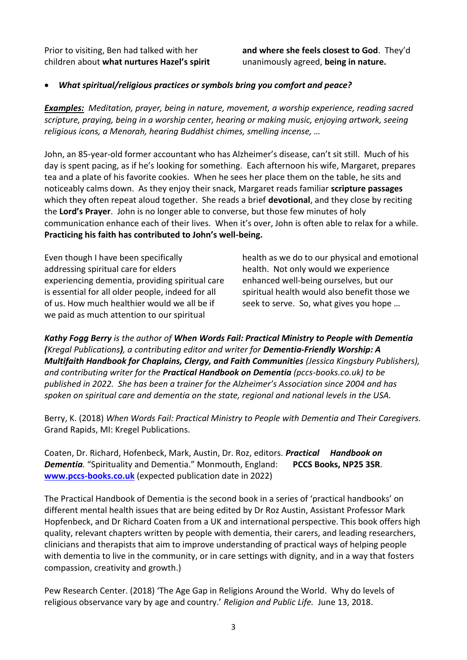Prior to visiting, Ben had talked with her children about **what nurtures Hazel's spirit**  **and where she feels closest to God**. They'd unanimously agreed, **being in nature.**

#### • *What spiritual/religious practices or symbols bring you comfort and peace?*

*Examples: Meditation, prayer, being in nature, movement, a worship experience, reading sacred scripture, praying, being in a worship center, hearing or making music, enjoying artwork, seeing religious icons, a Menorah, hearing Buddhist chimes, smelling incense, …* 

John, an 85-year-old former accountant who has Alzheimer's disease, can't sit still. Much of his day is spent pacing, as if he's looking for something. Each afternoon his wife, Margaret, prepares tea and a plate of his favorite cookies. When he sees her place them on the table, he sits and noticeably calms down. As they enjoy their snack, Margaret reads familiar **scripture passages** which they often repeat aloud together. She reads a brief **devotional**, and they close by reciting the **Lord's Prayer**. John is no longer able to converse, but those few minutes of holy communication enhance each of their lives. When it's over, John is often able to relax for a while. **Practicing his faith has contributed to John's well-being.**

Even though I have been specifically addressing spiritual care for elders experiencing dementia, providing spiritual care is essential for all older people, indeed for all of us. How much healthier would we all be if we paid as much attention to our spiritual

health as we do to our physical and emotional health. Not only would we experience enhanced well-being ourselves, but our spiritual health would also benefit those we seek to serve. So, what gives you hope …

*Kathy Fogg Berry is the author of When Words Fail: Practical Ministry to People with Dementia (Kregal Publications), a contributing editor and writer for Dementia-Friendly Worship: A Multifaith Handbook for Chaplains, Clergy, and Faith Communities (Jessica Kingsbury Publishers), and contributing writer for the Practical Handbook on Dementia (pccs-books.co.uk) to be published in 2022. She has been a trainer for the Alzheimer's Association since 2004 and has spoken on spiritual care and dementia on the state, regional and national levels in the USA.*

Berry, K. (2018) *When Words Fail: Practical Ministry to People with Dementia and Their Caregivers.* Grand Rapids, MI: Kregel Publications.

Coaten, Dr. Richard, Hofenbeck, Mark, Austin, Dr. Roz, editors. *Practical Handbook on Dementia.* "Spirituality and Dementia." Monmouth, England: **PCCS Books, NP25 3SR. [www.pccs-books.co.uk](http://www.pccs-books.co.uk/)** (expected publication date in 2022)

The Practical Handbook of Dementia is the second book in a series of 'practical handbooks' on different mental health issues that are being edited by Dr Roz Austin, Assistant Professor Mark Hopfenbeck, and Dr Richard Coaten from a UK and international perspective. This book offers high quality, relevant chapters written by people with dementia, their carers, and leading researchers, clinicians and therapists that aim to improve understanding of practical ways of helping people with dementia to live in the community, or in care settings with dignity, and in a way that fosters compassion, creativity and growth.)

Pew Research Center. (2018) 'The Age Gap in Religions Around the World. Why do levels of religious observance vary by age and country.' *Religion and Public Life.* June 13, 2018.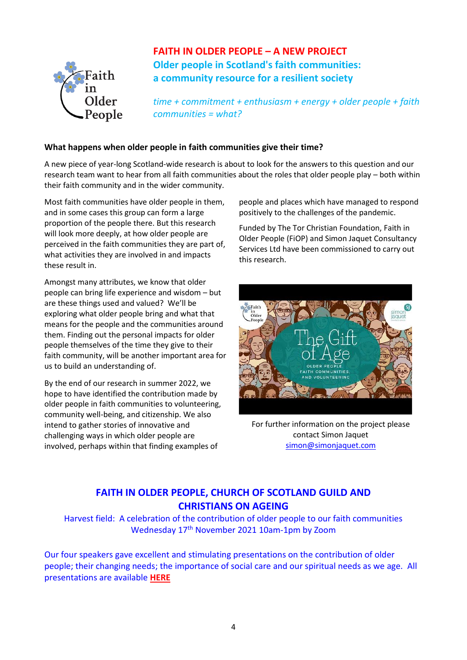

**FAITH IN OLDER PEOPLE – A NEW PROJECT Older people in Scotland's faith communities: a community resource for a resilient society**

*time + commitment + enthusiasm + energy + older people + faith communities = what?*

#### **What happens when older people in faith communities give their time?**

A new piece of year-long Scotland-wide research is about to look for the answers to this question and our research team want to hear from all faith communities about the roles that older people play – both within their faith community and in the wider community.

Most faith communities have older people in them, and in some cases this group can form a large proportion of the people there. But this research will look more deeply, at how older people are perceived in the faith communities they are part of, what activities they are involved in and impacts these result in.

Amongst many attributes, we know that older people can bring life experience and wisdom – but are these things used and valued? We'll be exploring what older people bring and what that means for the people and the communities around them. Finding out the personal impacts for older people themselves of the time they give to their faith community, will be another important area for us to build an understanding of.

By the end of our research in summer 2022, we hope to have identified the contribution made by older people in faith communities to volunteering, community well-being, and citizenship. We also intend to gather stories of innovative and challenging ways in which older people are involved, perhaps within that finding examples of

people and places which have managed to respond positively to the challenges of the pandemic.

Funded by The Tor Christian Foundation, Faith in Older People (FiOP) and Simon Jaquet Consultancy Services Ltd have been commissioned to carry out this research.



For further information on the project please contact Simon Jaquet [simon@simonjaquet.com](mailto:simon@simonjaquet.com)

## **FAITH IN OLDER PEOPLE, CHURCH OF SCOTLAND GUILD AND CHRISTIANS ON AGEING**

Harvest field: A celebration of the contribution of older people to our faith communities Wednesday 17<sup>th</sup> November 2021 10am-1pm by Zoom

Our four speakers gave excellent and stimulating presentations on the contribution of older people; their changing needs; the importance of social care and our spiritual needs as we age. All presentations are available **[HERE](https://www.faithinolderpeople.org.uk/resource/harvest-field-a-celebration-of-the-contribution-of-older-people-to-our-faith-communities/)**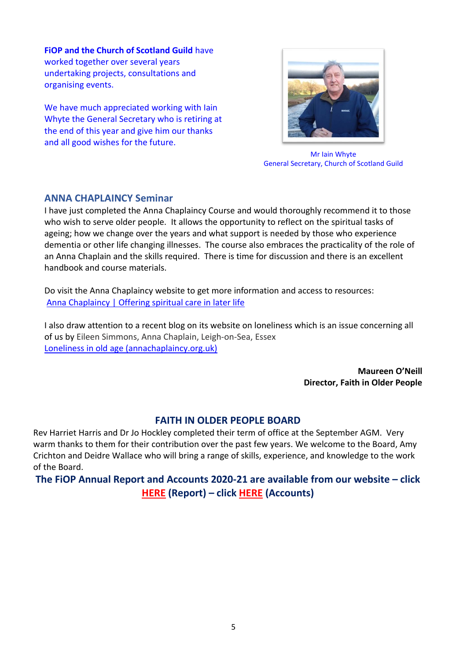**FiOP and the Church of Scotland Guild** have worked together over several years undertaking projects, consultations and organising events.

We have much appreciated working with Iain Whyte the General Secretary who is retiring at the end of this year and give him our thanks and all good wishes for the future.



Mr Iain Whyte General Secretary, Church of Scotland Guild

## **ANNA CHAPLAINCY Seminar**

I have just completed the Anna Chaplaincy Course and would thoroughly recommend it to those who wish to serve older people. It allows the opportunity to reflect on the spiritual tasks of ageing; how we change over the years and what support is needed by those who experience dementia or other life changing illnesses. The course also embraces the practicality of the role of an Anna Chaplain and the skills required. There is time for discussion and there is an excellent handbook and course materials.

Do visit the Anna Chaplaincy website to get more information and access to resources: [Anna Chaplaincy | Offering spiritual care in later life](https://www.annachaplaincy.org.uk/)

I also draw attention to a recent blog on its website on loneliness which is an issue concerning all of us by Eileen Simmons, Anna Chaplain, Leigh-on-Sea, Essex [Loneliness in old age \(annachaplaincy.org.uk\)](https://www.annachaplaincy.org.uk/post/loneliness-in-old-age)

> **Maureen O'Neill Director, Faith in Older People**

#### **FAITH IN OLDER PEOPLE BOARD**

Rev Harriet Harris and Dr Jo Hockley completed their term of office at the September AGM. Very warm thanks to them for their contribution over the past few years. We welcome to the Board, Amy Crichton and Deidre Wallace who will bring a range of skills, experience, and knowledge to the work of the Board.

**The FiOP Annual Report and Accounts 2020-21 are available from our website – click [HERE](https://www.faithinolderpeople.org.uk/wp-content/uploads/2021/09/Annual-Report-2020-2021.pdf) (Report) – click [HERE](https://www.faithinolderpeople.org.uk/wp-content/uploads/2021/09/Annual-Accounts-2020-to-2021.pdf) (Accounts)**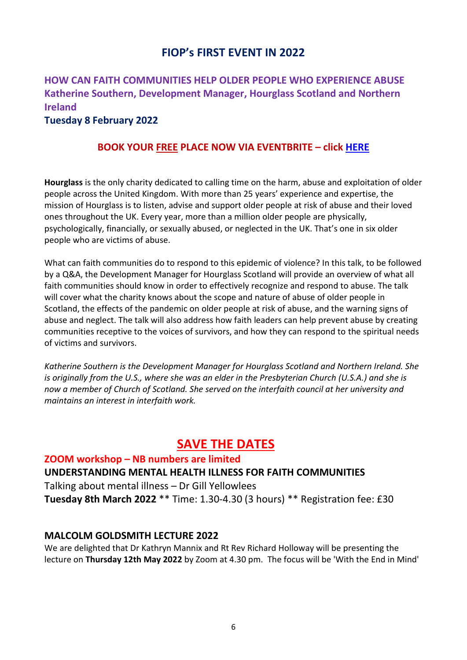# **FIOP's FIRST EVENT IN 2022**

# **HOW CAN FAITH COMMUNITIES HELP OLDER PEOPLE WHO EXPERIENCE ABUSE Katherine Southern, Development Manager, Hourglass Scotland and Northern Ireland**

### **Tuesday 8 February 2022**

## **BOOK YOUR FREE PLACE NOW VIA EVENTBRITE – click [HERE](https://www.eventbrite.co.uk/e/safer-ageing-stopping-abuse-in-conjunction-with-hourglass-tickets-219926093867)**

**Hourglass** is the only charity dedicated to calling time on the harm, abuse and exploitation of older people across the United Kingdom. With more than 25 years' experience and expertise, the mission of Hourglass is to listen, advise and support older people at risk of abuse and their loved ones throughout the UK. Every year, more than a million older people are physically, psychologically, financially, or sexually abused, or neglected in the UK. That's one in six older people who are victims of abuse.

What can faith communities do to respond to this epidemic of violence? In this talk, to be followed by a Q&A, the Development Manager for Hourglass Scotland will provide an overview of what all faith communities should know in order to effectively recognize and respond to abuse. The talk will cover what the charity knows about the scope and nature of abuse of older people in Scotland, the effects of the pandemic on older people at risk of abuse, and the warning signs of abuse and neglect. The talk will also address how faith leaders can help prevent abuse by creating communities receptive to the voices of survivors, and how they can respond to the spiritual needs of victims and survivors.

*Katherine Southern is the Development Manager for Hourglass Scotland and Northern Ireland. She is originally from the U.S., where she was an elder in the Presbyterian Church (U.S.A.) and she is now a member of Church of Scotland. She served on the interfaith council at her university and maintains an interest in interfaith work.*

# **SAVE THE DATES**

**ZOOM workshop – NB numbers are limited UNDERSTANDING MENTAL HEALTH ILLNESS FOR FAITH COMMUNITIES** Talking about mental illness – Dr Gill Yellowlees **Tuesday 8th March 2022** \*\* Time: 1.30-4.30 (3 hours) \*\* Registration fee: £30

## **MALCOLM GOLDSMITH LECTURE 2022**

We are delighted that Dr Kathryn Mannix and Rt Rev Richard Holloway will be presenting the lecture on **Thursday 12th May 2022** by Zoom at 4.30 pm. The focus will be 'With the End in Mind'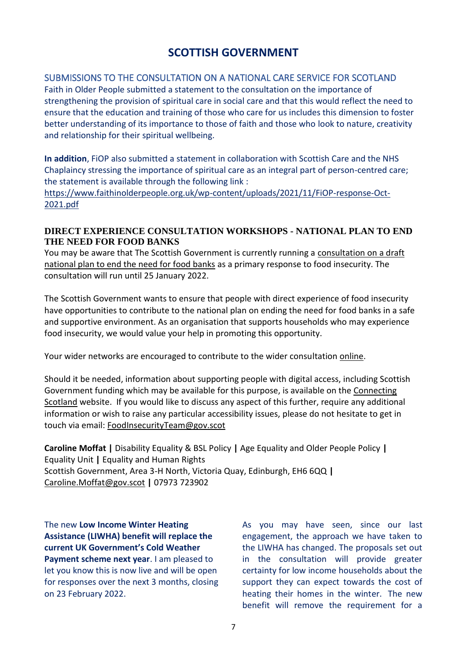# **SCOTTISH GOVERNMENT**

## SUBMISSIONS TO THE CONSULTATION ON A NATIONAL CARE SERVICE FOR SCOTLAND

Faith in Older People submitted a statement to the consultation on the importance of strengthening the provision of spiritual care in social care and that this would reflect the need to ensure that the education and training of those who care for us includes this dimension to foster better understanding of its importance to those of faith and those who look to nature, creativity and relationship for their spiritual wellbeing.

**In addition**, FiOP also submitted a statement in collaboration with Scottish Care and the NHS Chaplaincy stressing the importance of spiritual care as an integral part of person-centred care; the statement is available through the following link :

[https://www.faithinolderpeople.org.uk/wp-content/uploads/2021/11/FiOP-response-Oct-](https://www.faithinolderpeople.org.uk/wp-content/uploads/2021/11/FiOP-response-Oct-2021.pdf)[2021.pdf](https://www.faithinolderpeople.org.uk/wp-content/uploads/2021/11/FiOP-response-Oct-2021.pdf)

### **DIRECT EXPERIENCE CONSULTATION WORKSHOPS - NATIONAL PLAN TO END THE NEED FOR FOOD BANKS**

You may be aware that The Scottish Government is currently running a [consultation on a draft](https://consult.gov.scot/housing-and-social-justice/ending-the-need-for-food-banks/)  [national plan to end the need for food banks](https://consult.gov.scot/housing-and-social-justice/ending-the-need-for-food-banks/) as a primary response to food insecurity. The consultation will run until 25 January 2022.

The Scottish Government wants to ensure that people with direct experience of food insecurity have opportunities to contribute to the national plan on ending the need for food banks in a safe and supportive environment. As an organisation that supports households who may experience food insecurity, we would value your help in promoting this opportunity.

Your wider networks are encouraged to contribute to the wider consultation [online.](https://consult.gov.scot/housing-and-social-justice/ending-the-need-for-food-banks/)

Should it be needed, information about supporting people with digital access, including Scottish Government funding which may be available for this purpose, is available on the [Connecting](https://connecting.scot/)  [Scotland](https://connecting.scot/) website. If you would like to discuss any aspect of this further, require any additional information or wish to raise any particular accessibility issues, please do not hesitate to get in touch via email: [FoodInsecurityTeam@gov.scot](mailto:FoodInsecurityTeam@gov.scot)

**Caroline Moffat |** Disability Equality & BSL Policy **|** Age Equality and Older People Policy **|** Equality Unit **|** Equality and Human Rights Scottish Government, Area 3-H North, Victoria Quay, Edinburgh, EH6 6QQ **|** [Caroline.Moffat@gov.scot](mailto:Caroline.Moffat@gov.scot) **|** 07973 723902

The new **Low Income Winter Heating Assistance (LIWHA) benefit will replace the current UK Government's Cold Weather Payment scheme next year**. I am pleased to let you know this is now live and will be open for responses over the next 3 months, closing on 23 February 2022.

As you may have seen, since our last engagement, the approach we have taken to the LIWHA has changed. The proposals set out in the consultation will provide greater certainty for low income households about the support they can expect towards the cost of heating their homes in the winter. The new benefit will remove the requirement for a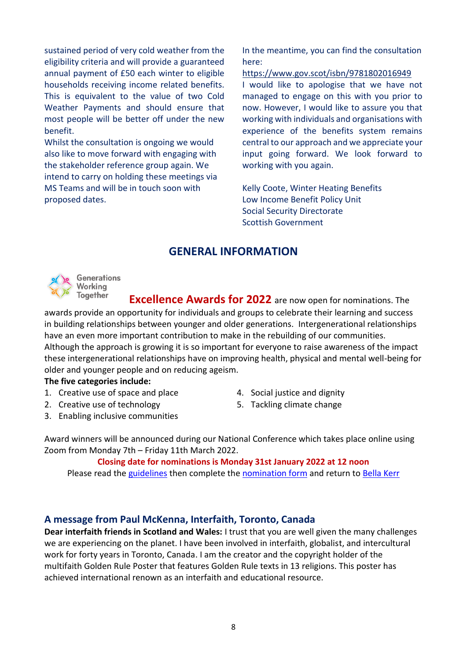sustained period of very cold weather from the eligibility criteria and will provide a guaranteed annual payment of £50 each winter to eligible households receiving income related benefits. This is equivalent to the value of two Cold Weather Payments and should ensure that most people will be better off under the new benefit.

Whilst the consultation is ongoing we would also like to move forward with engaging with the stakeholder reference group again. We intend to carry on holding these meetings via MS Teams and will be in touch soon with proposed dates.

In the meantime, you can find the consultation here:

<https://www.gov.scot/isbn/9781802016949>

I would like to apologise that we have not managed to engage on this with you prior to now. However, I would like to assure you that working with individuals and organisations with experience of the benefits system remains central to our approach and we appreciate your input going forward. We look forward to working with you again.

Kelly Coote, Winter Heating Benefits Low Income Benefit Policy Unit Social Security Directorate Scottish Government

## **GENERAL INFORMATION**



 **Excellence Awards for 2022** are now open for nominations. The awards provide an opportunity for individuals and groups to celebrate their learning and success in building relationships between younger and older generations. Intergenerational relationships have an even more important contribution to make in the rebuilding of our communities. Although the approach is growing it is so important for everyone to raise awareness of the impact these intergenerational relationships have on improving health, physical and mental well-being for older and younger people and on reducing ageism.

#### **The five categories include:**

- 1. Creative use of space and place
- 2. Creative use of technology
- 3. Enabling inclusive communities
- 4. Social justice and dignity
- 5. Tackling climate change

Award winners will be announced during our National Conference which takes place online using Zoom from Monday 7th – Friday 11th March 2022.

#### **Closing date for nominations is Monday 31st January 2022 at 12 noon**

Please read the [guidelines](https://generationsworkingtogether.org/downloads/618ee967890a0-award-guidelines-2022-final-pdf) then complete the [nomination form](https://generationsworkingtogether.org/downloads/619222702ed01-nomination-form-2022-pdf) and return to [Bella Kerr](mailto:bella@generationsworkingtogether.org)

## **A message from Paul McKenna, Interfaith, Toronto, Canada**

**Dear interfaith friends in Scotland and Wales:** I trust that you are well given the many challenges we are experiencing on the planet. I have been involved in interfaith, globalist, and intercultural work for forty years in Toronto, Canada. I am the creator and the copyright holder of the multifaith Golden Rule Poster that features Golden Rule texts in 13 religions. This poster has achieved international renown as an interfaith and educational resource.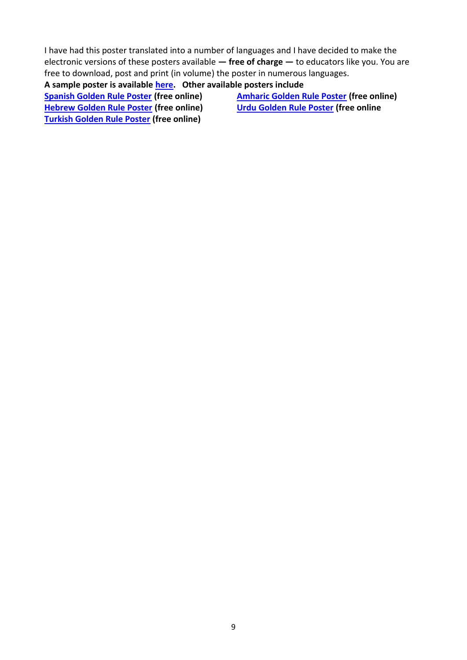I have had this poster translated into a number of languages and I have decided to make the electronic versions of these posters available **— free of charge —** to educators like you. You are free to download, post and print (in volume) the poster in numerous languages.

**A sample poster is available [here.](https://www.scarboromissions.ca/golden-rule/golden-rule-across-the-worlds-religions) Other available posters include**

**[Spanish Golden Rule Poster](https://www.scarboromissions.ca/wp-content/uploads/2015/11/Spanish-GR.pdf) (free online) [Hebrew Golden Rule Poster](http://www.scarboromissions.ca/wp-content/uploads/2015/05/hebrew_poster.pdf) (free online) [Turkish Golden Rule Poster](http://www.scarboromissions.ca/wp-content/uploads/2015/05/turkish_golden_rule_poster.pdf) (free online)**

**[Amharic Golden Rule Poster](http://www.scarboromissions.ca/wp-content/uploads/2015/09/Amharic-Golden-Rule-Poster.pdf) (free online) [Urdu Golden Rule Poster](https://www.scarboromissions.ca/wp-content/uploads/2017/06/Urdu-Golden-Rule-Poster.pdf) (free online**